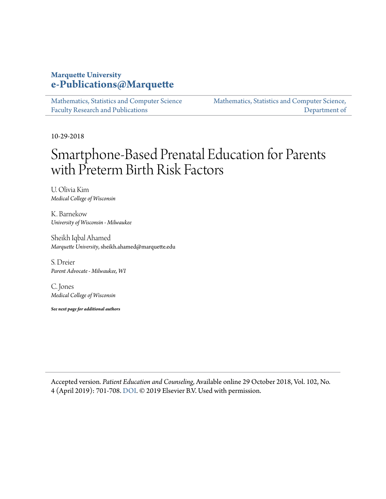#### **Marquette University [e-Publications@Marquette](https://epublications.marquette.edu)**

[Mathematics, Statistics and Computer Science](https://epublications.marquette.edu/mscs_fac) [Faculty Research and Publications](https://epublications.marquette.edu/mscs_fac)

[Mathematics, Statistics and Computer Science,](https://epublications.marquette.edu/mscs) [Department of](https://epublications.marquette.edu/mscs)

10-29-2018

## Smartphone-Based Prenatal Education for Parents with Preterm Birth Risk Factors

U. Olivia Kim *Medical College of Wisconsin*

K. Barnekow *University of Wisconsin - Milwaukee*

Sheikh Iqbal Ahamed *Marquette University*, sheikh.ahamed@marquette.edu

S. Dreier *Parent Advocate - Milwaukee, WI*

C. Jones *Medical College of Wisconsin*

*See next page for additional authors*

Accepted version*. Patient Education and Counseling*, Available online 29 October 2018, Vol. 102, No. 4 (April 2019): 701-708. [DOI](https://doi.org/10.1016/j.pec.2018.10.024). © 2019 Elsevier B.V. Used with permission.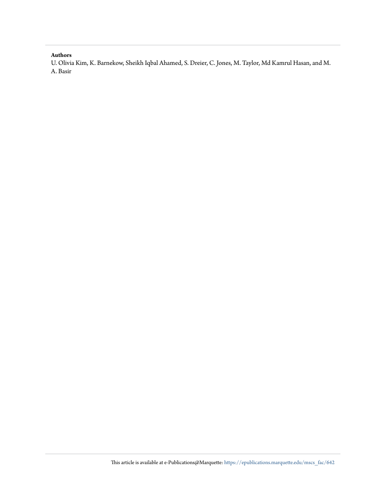#### **Authors**

U. Olivia Kim, K. Barnekow, Sheikh Iqbal Ahamed, S. Dreier, C. Jones, M. Taylor, Md Kamrul Hasan, and M. A. Basir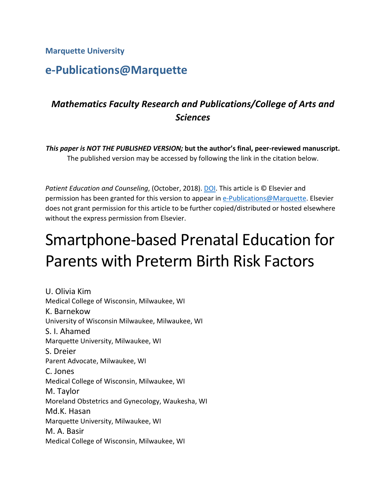**Marquette University**

### **e-Publications@Marquette**

### *Mathematics Faculty Research and Publications/College of Arts and Sciences*

*This paper is NOT THE PUBLISHED VERSION;* **but the author's final, peer-reviewed manuscript.**  The published version may be accessed by following the link in the citation below.

*Patient Education and Counseling*, (October, 2018). [DOI.](https://doi.org/10.1016/j.pec.2018.10.024) This article is © Elsevier and permission has been granted for this version to appear in [e-Publications@Marquette.](http://epublications.marquette.edu/) Elsevier does not grant permission for this article to be further copied/distributed or hosted elsewhere without the express permission from Elsevier.

# Smartphone-based Prenatal Education for Parents with Preterm Birth Risk Factors

U. Olivia Kim Medical College of Wisconsin, Milwaukee, WI K. Barnekow University of Wisconsin Milwaukee, Milwaukee, WI S. I. Ahamed Marquette University, Milwaukee, WI S. Dreier Parent Advocate, Milwaukee, WI C. Jones Medical College of Wisconsin, Milwaukee, WI M. Taylor Moreland Obstetrics and Gynecology, Waukesha, WI Md.K. Hasan Marquette University, Milwaukee, WI M. A. Basir Medical College of Wisconsin, Milwaukee, WI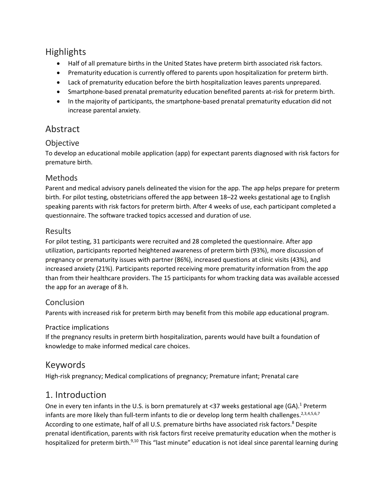#### **Highlights**

- Half of all premature births in the United States have preterm birth associated risk factors.
- Prematurity education is currently offered to parents upon hospitalization for preterm birth.
- Lack of prematurity education before the birth hospitalization leaves parents unprepared.
- Smartphone-based prenatal prematurity education benefited parents at-risk for preterm birth.
- In the majority of participants, the smartphone-based prenatal prematurity education did not increase parental anxiety.

#### Abstract

#### **Objective**

To develop an educational mobile application (app) for expectant parents diagnosed with risk factors for premature birth.

#### Methods

Parent and medical advisory panels delineated the vision for the app. The app helps prepare for preterm birth. For pilot testing, obstetricians offered the app between 18–22 weeks gestational age to English speaking parents with risk factors for preterm birth. After 4 weeks of use, each participant completed a questionnaire. The software tracked topics accessed and duration of use.

#### Results

For pilot testing, 31 participants were recruited and 28 completed the questionnaire. After app utilization, participants reported heightened awareness of preterm birth (93%), more discussion of pregnancy or prematurity issues with partner (86%), increased questions at clinic visits (43%), and increased anxiety (21%). Participants reported receiving more prematurity information from the app than from their healthcare providers. The 15 participants for whom tracking data was available accessed the app for an average of 8 h.

#### **Conclusion**

Parents with increased risk for preterm birth may benefit from this mobile app educational program.

#### Practice implications

If the pregnancy results in preterm birth hospitalization, parents would have built a foundation of knowledge to make informed medical care choices.

#### Keywords

High-risk pregnancy; Medical complications of pregnancy; Premature infant; Prenatal care

#### 1. Introduction

One in every ten infants in the U.S. is born prematurely at <37 weeks gestational age (GA).<sup>1</sup> Preterm infants are more likely than full-term infants to die or develop long term health challenges.<sup>2,3,4,5,6,7</sup> According to one estimate, half of all U.S. premature births have associated risk factors.<sup>8</sup> Despite prenatal identification, parents with risk factors first receive prematurity education when the mother is hospitalized for preterm birth.<sup>9,10</sup> This "last minute" education is not ideal since parental learning during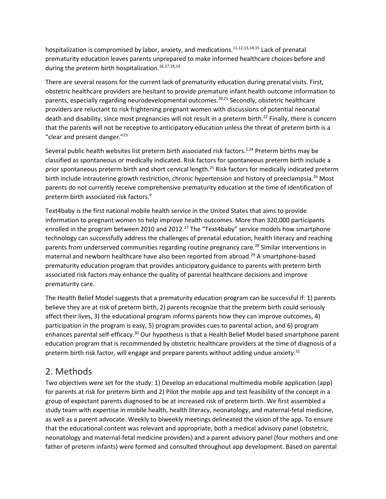hospitalization is compromised by labor, anxiety, and medications.<sup>11,12,13,14,15</sup> Lack of prenatal prematurity education leaves parents unprepared to make informed healthcare choices before and during the preterm birth hospitalization.<sup>16,17,18,19</sup>

There are several reasons for the current lack of prematurity education during prenatal visits. First, obstetric healthcare providers are hesitant to provide premature infant health outcome information to parents, especially regarding neurodevelopmental outcomes.<sup>20,21</sup> Secondly, obstetric healthcare providers are reluctant to risk frightening pregnant women with discussions of potential neonatal death and disability, since most pregnancies will not result in a preterm birth.<sup>22</sup> Finally, there is concern that the parents will not be receptive to anticipatory education unless the threat of preterm birth is a "clear and present danger." $^{23}$ 

Several public health websites list preterm birth associated risk factors.<sup>1,24</sup> Preterm births may be classified as spontaneous or medically indicated. Risk factors for spontaneous preterm birth include a prior spontaneous preterm birth and short cervical length.<sup>25</sup> Risk factors for medically indicated preterm birth include intrauterine growth restriction, chronic hypertension and history of preeclampsia.<sup>26</sup> Most parents do not currently receive comprehensive prematurity education at the time of identification of preterm birth associated risk factors. 9

Text4baby is the first national mobile health service in the United States that aims to provide information to pregnant women to help improve health outcomes. More than 320,000 participants enrolled in the program between 2010 and 2012.<sup>27</sup> The "Text4baby" service models how smartphone technology can successfully address the challenges of prenatal education, health literacy and reaching parents from underserved communities regarding routine pregnancy care.<sup>28</sup> Similar interventions in maternal and newborn healthcare have also been reported from abroad. <sup>29</sup> A smartphone-based prematurity education program that provides anticipatory guidance to parents with preterm birth associated risk factors may enhance the quality of parental healthcare decisions and improve prematurity care.

The Health Belief Model suggests that a prematurity education program can be successful if: 1) parents believe they are at risk of preterm birth, 2) parents recognize that the preterm birth could seriously affect their lives, 3) the educational program informs parents how they can improve outcomes, 4) participation in the program is easy, 5) program provides cues to parental action, and 6) program enhances parental self-efficacy.<sup>30</sup> Our hypothesis is that a Health Belief Model based smartphone parent education program that is recommended by obstetric healthcare providers at the time of diagnosis of a preterm birth risk factor, will engage and prepare parents without adding undue anxiety.<sup>31</sup>

#### 2. Methods

Two objectives were set for the study: 1) Develop an educational multimedia mobile application (app) for parents at risk for preterm birth and 2) Pilot the mobile app and test feasibility of the concept in a group of expectant parents diagnosed to be at increased risk of preterm birth. We first assembled a study team with expertise in mobile health, health literacy, neonatology, and maternal-fetal medicine, as well as a parent advocate. Weekly to biweekly meetings delineated the vision of the app. To ensure that the educational content was relevant and appropriate, both a medical advisory panel (obstetric, neonatology and maternal-fetal medicine providers) and a parent advisory panel (four mothers and one father of preterm infants) were formed and consulted throughout app development. Based on parental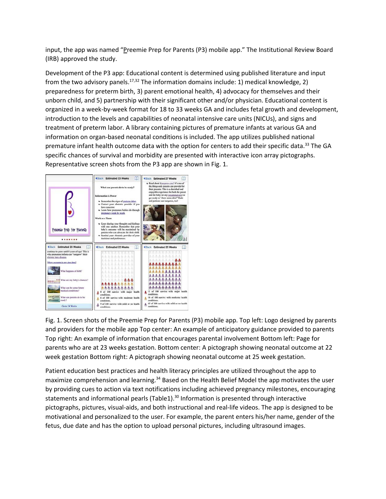input, the app was named "Preemie Prep for Parents (P3) mobile app." The Institutional Review Board (IRB) approved the study.

Development of the P3 app: Educational content is determined using published literature and input from the two advisory panels.<sup>17,32</sup> The information domains include: 1) medical knowledge, 2) preparedness for preterm birth, 3) parent emotional health, 4) advocacy for themselves and their unborn child, and 5) partnership with their significant other and/or physician. Educational content is organized in a week-by-week format for 18 to 33 weeks GA and includes fetal growth and development, introduction to the levels and capabilities of neonatal intensive care units (NICUs), and signs and treatment of preterm labor. A library containing pictures of premature infants at various GA and information on organ-based neonatal conditions is included. The app utilizes published national premature infant health outcome data with the option for centers to add their specific data.<sup>33</sup> The GA specific chances of survival and morbidity are presented with interactive icon array pictographs. Representative screen shots from the P3 app are shown in Fig. 1.



Fig. 1. Screen shots of the Preemie Prep for Parents (P3) mobile app. Top left: Logo designed by parents and providers for the mobile app Top center: An example of anticipatory guidance provided to parents Top right: An example of information that encourages parental involvement Bottom left: Page for parents who are at 23 weeks gestation. Bottom center: A pictograph showing neonatal outcome at 22 week gestation Bottom right: A pictograph showing neonatal outcome at 25 week gestation.

Patient education best practices and health literacy principles are utilized throughout the app to maximize comprehension and learning.<sup>34</sup> Based on the Health Belief Model the app motivates the user by providing cues to action via text notifications including achieved pregnancy milestones, encouraging statements and informational pearls (Table1).<sup>30</sup> Information is presented through interactive pictographs, pictures, visual-aids, and both instructional and real-life videos. The app is designed to be motivational and personalized to the user. For example, the parent enters his/her name, gender of the fetus, due date and has the option to upload personal pictures, including ultrasound images.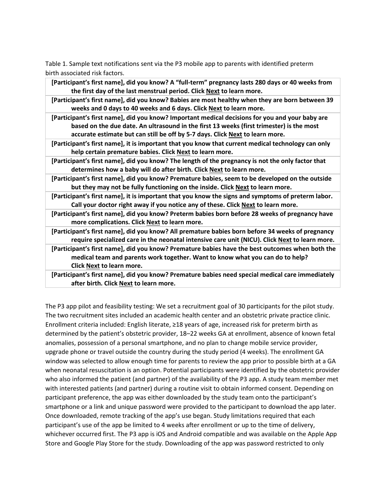Table 1. Sample text notifications sent via the P3 mobile app to parents with identified preterm birth associated risk factors.

- **[Participant's first name], did you know? A "full-term" pregnancy lasts 280 days or 40 weeks from the first day of the last menstrual period. Click Next to learn more.**
- **[Participant's first name], did you know? Babies are most healthy when they are born between 39 weeks and 0 days to 40 weeks and 6 days. Click Next to learn more.**
- **[Participant's first name], did you know? Important medical decisions for you and your baby are based on the due date. An ultrasound in the first 13 weeks (first trimester) is the most accurate estimate but can still be off by 5-7 days. Click Next to learn more.**
- **[Participant's first name], it is important that you know that current medical technology can only help certain premature babies. Click Next to learn more.**
- **[Participant's first name], did you know? The length of the pregnancy is not the only factor that determines how a baby will do after birth. Click Next to learn more.**
- **[Participant's first name], did you know? Premature babies, seem to be developed on the outside but they may not be fully functioning on the inside. Click Next to learn more.**
- **[Participant's first name], it is important that you know the signs and symptoms of preterm labor. Call your doctor right away if you notice any of these. Click Next to learn more.**
- **[Participant's first name], did you know? Preterm babies born before 28 weeks of pregnancy have more complications. Click Next to learn more.**
- **[Participant's first name], did you know? All premature babies born before 34 weeks of pregnancy require specialized care in the neonatal intensive care unit (NICU). Click Next to learn more.**
- **[Participant's first name], did you know? Premature babies have the best outcomes when both the medical team and parents work together. Want to know what you can do to help? Click Next to learn more.**
- **[Participant's first name], did you know? Premature babies need special medical care immediately after birth. Click Next to learn more.**

The P3 app pilot and feasibility testing: We set a recruitment goal of 30 participants for the pilot study. The two recruitment sites included an academic health center and an obstetric private practice clinic. Enrollment criteria included: English literate, ≥18 years of age, increased risk for preterm birth as determined by the patient's obstetric provider, 18–22 weeks GA at enrollment, absence of known fetal anomalies, possession of a personal smartphone, and no plan to change mobile service provider, upgrade phone or travel outside the country during the study period (4 weeks). The enrollment GA window was selected to allow enough time for parents to review the app prior to possible birth at a GA when neonatal resuscitation is an option. Potential participants were identified by the obstetric provider who also informed the patient (and partner) of the availability of the P3 app. A study team member met with interested patients (and partner) during a routine visit to obtain informed consent. Depending on participant preference, the app was either downloaded by the study team onto the participant's smartphone or a link and unique password were provided to the participant to download the app later. Once downloaded, remote tracking of the app's use began. Study limitations required that each participant's use of the app be limited to 4 weeks after enrollment or up to the time of delivery, whichever occurred first. The P3 app is iOS and Android compatible and was available on the Apple App Store and Google Play Store for the study. Downloading of the app was password restricted to only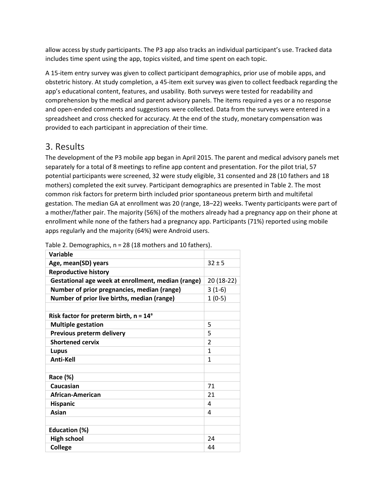allow access by study participants. The P3 app also tracks an individual participant's use. Tracked data includes time spent using the app, topics visited, and time spent on each topic.

A 15-item entry survey was given to collect participant demographics, prior use of mobile apps, and obstetric history. At study completion, a 45-item exit survey was given to collect feedback regarding the app's educational content, features, and usability. Both surveys were tested for readability and comprehension by the medical and parent advisory panels. The items required a yes or a no response and open-ended comments and suggestions were collected. Data from the surveys were entered in a spreadsheet and cross checked for accuracy. At the end of the study, monetary compensation was provided to each participant in appreciation of their time.

#### 3. Results

The development of the P3 mobile app began in April 2015. The parent and medical advisory panels met separately for a total of 8 meetings to refine app content and presentation. For the pilot trial, 57 potential participants were screened, 32 were study eligible, 31 consented and 28 (10 fathers and 18 mothers) completed the exit survey. Participant demographics are presented in Table 2. The most common risk factors for preterm birth included prior spontaneous preterm birth and multifetal gestation. The median GA at enrollment was 20 (range, 18–22) weeks. Twenty participants were part of a mother/father pair. The majority (56%) of the mothers already had a pregnancy app on their phone at enrollment while none of the fathers had a pregnancy app. Participants (71%) reported using mobile apps regularly and the majority (64%) were Android users.

| Variable                                           |                          |
|----------------------------------------------------|--------------------------|
| Age, mean(SD) years                                | $32 + 5$                 |
| <b>Reproductive history</b>                        |                          |
| Gestational age week at enrollment, median (range) | 20 (18-22)               |
| Number of prior pregnancies, median (range)        | $3(1-6)$                 |
| Number of prior live births, median (range)        | $1(0-5)$                 |
|                                                    |                          |
| Risk factor for preterm birth, $n = 14a$           |                          |
| <b>Multiple gestation</b>                          | 5                        |
| Previous preterm delivery                          | 5                        |
| <b>Shortened cervix</b>                            | $\overline{\phantom{a}}$ |
| <b>Lupus</b>                                       | 1                        |
| <b>Anti-Kell</b>                                   | 1                        |
|                                                    |                          |
| Race (%)                                           |                          |
| Caucasian                                          | 71                       |
| African-American                                   | 21                       |
| <b>Hispanic</b>                                    | 4                        |
| Asian                                              | 4                        |
|                                                    |                          |
| Education (%)                                      |                          |
| <b>High school</b>                                 | 24                       |
| <b>College</b>                                     | 44                       |
|                                                    |                          |

Table 2. Demographics, n = 28 (18 mothers and 10 fathers).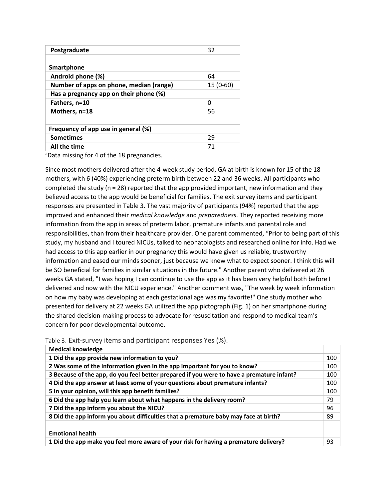| Postgraduate                            | 32        |
|-----------------------------------------|-----------|
|                                         |           |
| Smartphone                              |           |
| Android phone (%)                       | 64        |
| Number of apps on phone, median (range) | 15 (0-60) |
| Has a pregnancy app on their phone (%)  |           |
| Fathers, n=10                           | ŋ         |
| Mothers, n=18                           | 56        |
|                                         |           |
| Frequency of app use in general (%)     |           |
| <b>Sometimes</b>                        | 29        |
| All the time                            | 71        |
|                                         |           |

<sup>a</sup>Data missing for 4 of the 18 pregnancies.

Since most mothers delivered after the 4-week study period, GA at birth is known for 15 of the 18 mothers, with 6 (40%) experiencing preterm birth between 22 and 36 weeks. All participants who completed the study (n = 28) reported that the app provided important, new information and they believed access to the app would be beneficial for families. The exit survey items and participant responses are presented in Table 3. The vast majority of participants (94%) reported that the app improved and enhanced their *medical knowledge* and *preparedness*. They reported receiving more information from the app in areas of preterm labor, premature infants and parental role and responsibilities, than from their healthcare provider. One parent commented, "Prior to being part of this study, my husband and I toured NICUs, talked to neonatologists and researched online for info. Had we had access to this app earlier in our pregnancy this would have given us reliable, trustworthy information and eased our minds sooner, just because we knew what to expect sooner. I think this will be SO beneficial for families in similar situations in the future." Another parent who delivered at 26 weeks GA stated, "I was hoping I can continue to use the app as it has been very helpful both before I delivered and now with the NICU experience." Another comment was, "The week by week information on how my baby was developing at each gestational age was my favorite!" One study mother who presented for delivery at 22 weeks GA utilized the app pictograph (Fig. 1) on her smartphone during the shared decision-making process to advocate for resuscitation and respond to medical team's concern for poor developmental outcome.

| <b>Medical knowledge</b>                                                                  |     |
|-------------------------------------------------------------------------------------------|-----|
| 1 Did the app provide new information to you?                                             | 100 |
| 2 Was some of the information given in the app important for you to know?                 | 100 |
| 3 Because of the app, do you feel better prepared if you were to have a premature infant? | 100 |
| 4 Did the app answer at least some of your questions about premature infants?             | 100 |
| 5 In your opinion, will this app benefit families?                                        | 100 |
| 6 Did the app help you learn about what happens in the delivery room?                     | 79  |
| 7 Did the app inform you about the NICU?                                                  | 96  |
| 8 Did the app inform you about difficulties that a premature baby may face at birth?      | 89  |
|                                                                                           |     |
| <b>Emotional health</b>                                                                   |     |
| 1 Did the app make you feel more aware of your risk for having a premature delivery?      | 93  |

Table 3. Exit-survey items and participant responses Yes (%).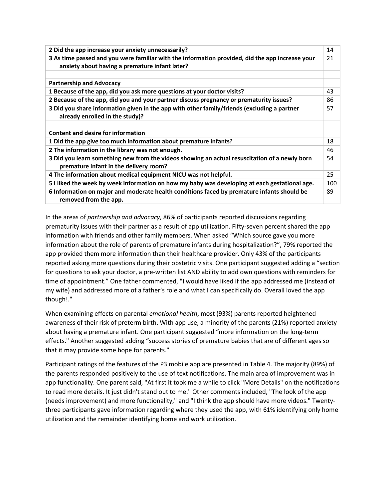| 2 Did the app increase your anxiety unnecessarily?                                                                                                | 14  |
|---------------------------------------------------------------------------------------------------------------------------------------------------|-----|
| 3 As time passed and you were familiar with the information provided, did the app increase your<br>anxiety about having a premature infant later? | 21  |
|                                                                                                                                                   |     |
| <b>Partnership and Advocacy</b>                                                                                                                   |     |
| 1 Because of the app, did you ask more questions at your doctor visits?                                                                           | 43  |
| 2 Because of the app, did you and your partner discuss pregnancy or prematurity issues?                                                           | 86  |
| 3 Did you share information given in the app with other family/friends (excluding a partner<br>already enrolled in the study)?                    | 57  |
|                                                                                                                                                   |     |
| Content and desire for information                                                                                                                |     |
| 1 Did the app give too much information about premature infants?                                                                                  | 18  |
| 2 The information in the library was not enough.                                                                                                  | 46  |
| 3 Did you learn something new from the videos showing an actual resuscitation of a newly born<br>premature infant in the delivery room?           | 54  |
| 4 The information about medical equipment NICU was not helpful.                                                                                   | 25  |
| 5 I liked the week by week information on how my baby was developing at each gestational age.                                                     | 100 |
| 6 Information on major and moderate health conditions faced by premature infants should be<br>removed from the app.                               | 89  |

In the areas of *partnership and advocacy*, 86% of participants reported discussions regarding prematurity issues with their partner as a result of app utilization. Fifty-seven percent shared the app information with friends and other family members. When asked "Which source gave you more information about the role of parents of premature infants during hospitalization?", 79% reported the app provided them more information than their healthcare provider. Only 43% of the participants reported asking more questions during their obstetric visits. One participant suggested adding a "section for questions to ask your doctor, a pre-written list AND ability to add own questions with reminders for time of appointment." One father commented, "I would have liked if the app addressed me (instead of my wife) and addressed more of a father's role and what I can specifically do. Overall loved the app though!."

When examining effects on parental *emotional health*, most (93%) parents reported heightened awareness of their risk of preterm birth. With app use, a minority of the parents (21%) reported anxiety about having a premature infant. One participant suggested "more information on the long-term effects." Another suggested adding "success stories of premature babies that are of different ages so that it may provide some hope for parents."

Participant ratings of the features of the P3 mobile app are presented in Table 4. The majority (89%) of the parents responded positively to the use of text notifications. The main area of improvement was in app functionality. One parent said, "At first it took me a while to click "More Details" on the notifications to read more details. It just didn't stand out to me." Other comments included, "The look of the app (needs improvement) and more functionality," and "I think the app should have more videos." Twentythree participants gave information regarding where they used the app, with 61% identifying only home utilization and the remainder identifying home and work utilization.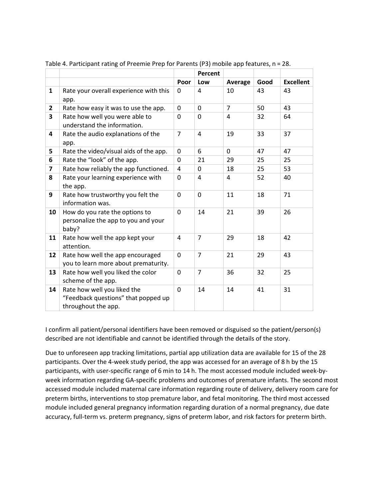|                         |                                                                                           |                | Percent        |                |      |                  |
|-------------------------|-------------------------------------------------------------------------------------------|----------------|----------------|----------------|------|------------------|
|                         |                                                                                           | Poor           | Low            | Average        | Good | <b>Excellent</b> |
| $\mathbf{1}$            | Rate your overall experience with this<br>app.                                            | 0              | 4              | 10             | 43   | 43               |
| $\overline{2}$          | Rate how easy it was to use the app.                                                      | $\Omega$       | $\Omega$       | $\overline{7}$ | 50   | 43               |
| 3                       | Rate how well you were able to<br>understand the information.                             | $\Omega$       | $\Omega$       | 4              | 32   | 64               |
| 4                       | Rate the audio explanations of the<br>app.                                                | $\overline{7}$ | 4              | 19             | 33   | 37               |
| 5.                      | Rate the video/visual aids of the app.                                                    | 0              | 6              | 0              | 47   | 47               |
| 6                       | Rate the "look" of the app.                                                               | 0              | 21             | 29             | 25   | 25               |
| $\overline{\mathbf{z}}$ | Rate how reliably the app functioned.                                                     | 4              | 0              | 18             | 25   | 53               |
| 8                       | Rate your learning experience with<br>the app.                                            | 0              | 4              | 4              | 52   | 40               |
| 9                       | Rate how trustworthy you felt the<br>information was.                                     | 0              | 0              | 11             | 18   | 71               |
| 10                      | How do you rate the options to<br>personalize the app to you and your<br>baby?            | 0              | 14             | 21             | 39   | 26               |
| 11                      | Rate how well the app kept your<br>attention.                                             | 4              | $\overline{7}$ | 29             | 18   | 42               |
| 12                      | Rate how well the app encouraged<br>you to learn more about prematurity.                  | 0              | $\overline{7}$ | 21             | 29   | 43               |
| 13                      | Rate how well you liked the color<br>scheme of the app.                                   | 0              | $\overline{7}$ | 36             | 32   | 25               |
| 14                      | Rate how well you liked the<br>"Feedback questions" that popped up<br>throughout the app. | 0              | 14             | 14             | 41   | 31               |

Table 4. Participant rating of Preemie Prep for Parents (P3) mobile app features, n = 28.

I confirm all patient/personal identifiers have been removed or disguised so the patient/person(s) described are not identifiable and cannot be identified through the details of the story.

Due to unforeseen app tracking limitations, partial app utilization data are available for 15 of the 28 participants. Over the 4-week study period, the app was accessed for an average of 8 h by the 15 participants, with user-specific range of 6 min to 14 h. The most accessed module included week-byweek information regarding GA-specific problems and outcomes of premature infants. The second most accessed module included maternal care information regarding route of delivery, delivery room care for preterm births, interventions to stop premature labor, and fetal monitoring. The third most accessed module included general pregnancy information regarding duration of a normal pregnancy, due date accuracy, full-term vs. preterm pregnancy, signs of preterm labor, and risk factors for preterm birth.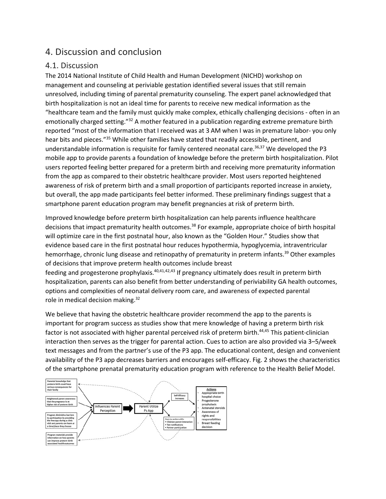#### 4. Discussion and conclusion

#### 4.1. Discussion

The 2014 National Institute of Child Health and Human Development (NICHD) workshop on management and counseling at periviable gestation identified several issues that still remain unresolved, including timing of parental prematurity counseling. The expert panel acknowledged that birth hospitalization is not an ideal time for parents to receive new medical information as the "healthcare team and the family must quickly make complex, ethically challenging decisions - often in an emotionally charged setting."<sup>32</sup> A mother featured in a publication regarding extreme premature birth reported "most of the information that I received was at 3 AM when I was in premature labor- you only hear bits and pieces."<sup>35</sup> While other families have stated that readily accessible, pertinent, and understandable information is requisite for family centered neonatal care. 36,37 We developed the P3 mobile app to provide parents a foundation of knowledge before the preterm birth hospitalization. Pilot users reported feeling better prepared for a preterm birth and receiving more prematurity information from the app as compared to their obstetric healthcare provider. Most users reported heightened awareness of risk of preterm birth and a small proportion of participants reported increase in anxiety, but overall, the app made participants feel better informed. These preliminary findings suggest that a smartphone parent education program may benefit pregnancies at risk of preterm birth.

Improved knowledge before preterm birth hospitalization can help parents influence healthcare decisions that impact prematurity health outcomes. <sup>38</sup> For example, appropriate choice of birth hospital will optimize care in the first postnatal hour, also known as the "Golden Hour." Studies show that evidence based care in the first postnatal hour reduces hypothermia, hypoglycemia, intraventricular hemorrhage, chronic lung disease and retinopathy of prematurity in preterm infants.<sup>39</sup> Other examples of decisions that improve preterm health outcomes include breast

feeding and progesterone prophylaxis.<sup>40,41,42,43</sup> If pregnancy ultimately does result in preterm birth hospitalization, parents can also benefit from better understanding of periviability GA health outcomes, options and complexities of neonatal delivery room care, and awareness of expected parental role in medical decision making.<sup>32</sup>

We believe that having the obstetric healthcare provider recommend the app to the parents is important for program success as studies show that mere knowledge of having a preterm birth risk factor is not associated with higher parental perceived risk of preterm birth.<sup>44,45</sup> This patient-clinician interaction then serves as the trigger for parental action. Cues to action are also provided via 3–5/week text messages and from the partner's use of the P3 app. The educational content, design and convenient availability of the P3 app decreases barriers and encourages self-efficacy. Fig. 2 shows the characteristics of the smartphone prenatal prematurity education program with reference to the Health Belief Model.

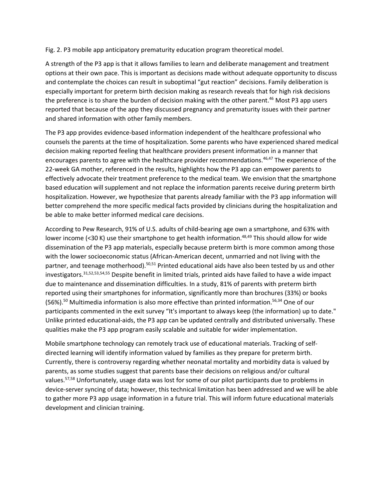Fig. 2. P3 mobile app anticipatory prematurity education program theoretical model.

A strength of the P3 app is that it allows families to learn and deliberate management and treatment options at their own pace. This is important as decisions made without adequate opportunity to discuss and contemplate the choices can result in suboptimal "gut reaction" decisions. Family deliberation is especially important for preterm birth decision making as research reveals that for high risk decisions the preference is to share the burden of decision making with the other parent.<sup>46</sup> Most P3 app users reported that because of the app they discussed pregnancy and prematurity issues with their partner and shared information with other family members.

The P3 app provides evidence-based information independent of the healthcare professional who counsels the parents at the time of hospitalization. Some parents who have experienced shared medical decision making reported feeling that healthcare providers present information in a manner that encourages parents to agree with the healthcare provider recommendations.<sup>46,47</sup> The experience of the 22-week GA mother, referenced in the results, highlights how the P3 app can empower parents to effectively advocate their treatment preference to the medical team. We envision that the smartphone based education will supplement and not replace the information parents receive during preterm birth hospitalization. However, we hypothesize that parents already familiar with the P3 app information will better comprehend the more specific medical facts provided by clinicians during the hospitalization and be able to make better informed medical care decisions.

According to Pew Research, 91% of U.S. adults of child-bearing age own a smartphone, and 63% with lower income (<30 K) use their smartphone to get health information.<sup>48,49</sup> This should allow for wide dissemination of the P3 app materials, especially because preterm birth is more common among those with the lower socioeconomic status (African-American decent, unmarried and not living with the partner, and teenage motherhood).<sup>50,51</sup> Printed educational aids have also been tested by us and other investigators. 31,52,53,54,55 Despite benefit in limited trials, printed aids have failed to have a wide impact due to maintenance and dissemination difficulties. In a study, 81% of parents with preterm birth reported using their smartphones for information, significantly more than brochures (33%) or books (56%).<sup>50</sup> Multimedia information is also more effective than printed information.<sup>56,34</sup> One of our participants commented in the exit survey "It's important to always keep (the information) up to date." Unlike printed educational-aids, the P3 app can be updated centrally and distributed universally. These qualities make the P3 app program easily scalable and suitable for wider implementation.

Mobile smartphone technology can remotely track use of educational materials. Tracking of selfdirected learning will identify information valued by families as they prepare for preterm birth. Currently, there is controversy regarding whether neonatal mortality and morbidity data is valued by parents, as some studies suggest that parents base their decisions on religious and/or cultural values.<sup>57,58</sup> Unfortunately, usage data was lost for some of our pilot participants due to problems in device-server syncing of data; however, this technical limitation has been addressed and we will be able to gather more P3 app usage information in a future trial. This will inform future educational materials development and clinician training.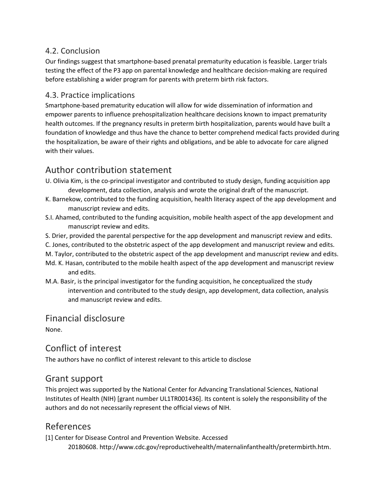#### 4.2. Conclusion

Our findings suggest that smartphone-based prenatal prematurity education is feasible. Larger trials testing the effect of the P3 app on parental knowledge and healthcare decision-making are required before establishing a wider program for parents with preterm birth risk factors.

#### 4.3. Practice implications

Smartphone-based prematurity education will allow for wide dissemination of information and empower parents to influence prehospitalization healthcare decisions known to impact prematurity health outcomes. If the pregnancy results in preterm birth hospitalization, parents would have built a foundation of knowledge and thus have the chance to better comprehend medical facts provided during the hospitalization, be aware of their rights and obligations, and be able to advocate for care aligned with their values.

#### Author contribution statement

- U. Olivia Kim, is the co-principal investigator and contributed to study design, funding acquisition app development, data collection, analysis and wrote the original draft of the manuscript.
- K. Barnekow, contributed to the funding acquisition, health literacy aspect of the app development and manuscript review and edits.
- S.I. Ahamed, contributed to the funding acquisition, mobile health aspect of the app development and manuscript review and edits.
- S. Drier, provided the parental perspective for the app development and manuscript review and edits.
- C. Jones, contributed to the obstetric aspect of the app development and manuscript review and edits.
- M. Taylor, contributed to the obstetric aspect of the app development and manuscript review and edits.
- Md. K. Hasan, contributed to the mobile health aspect of the app development and manuscript review and edits.
- M.A. Basir, is the principal investigator for the funding acquisition, he conceptualized the study intervention and contributed to the study design, app development, data collection, analysis and manuscript review and edits.

#### Financial disclosure

None.

#### Conflict of interest

The authors have no conflict of interest relevant to this article to disclose

#### Grant support

This project was supported by the National Center for Advancing Translational Sciences, National Institutes of Health (NIH) [grant number UL1TR001436]. Its content is solely the responsibility of the authors and do not necessarily represent the official views of NIH.

#### References

[1] Center for Disease Control and Prevention Website. Accessed

20180608. http://www.cdc.gov/reproductivehealth/maternalinfanthealth/pretermbirth.htm.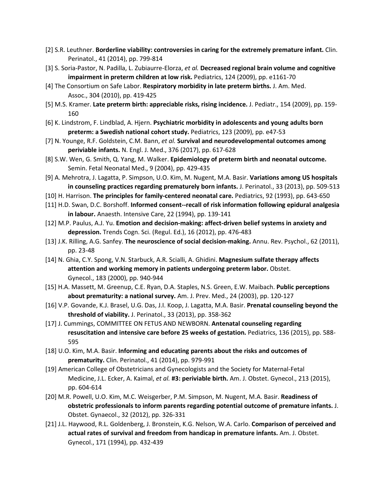- [2] S.R. Leuthner. **Borderline viability: controversies in caring for the extremely premature infant.** Clin. Perinatol., 41 (2014), pp. 799-814
- [3] S. Soria-Pastor, N. Padilla, L. Zubiaurre-Elorza, *et al.* **Decreased regional brain volume and cognitive impairment in preterm children at low risk.** Pediatrics, 124 (2009), pp. e1161-70
- [4] The Consortium on Safe Labor. **Respiratory morbidity in late preterm births.** J. Am. Med. Assoc., 304 (2010), pp. 419-425
- [5] M.S. Kramer. **Late preterm birth: appreciable risks, rising incidence.** J. Pediatr., 154 (2009), pp. 159- 160
- [6] K. Lindstrom, F. Lindblad, A. Hjern. **Psychiatric morbidity in adolescents and young adults born preterm: a Swedish national cohort study.** Pediatrics, 123 (2009), pp. e47-53
- [7] N. Younge, R.F. Goldstein, C.M. Bann, *et al.* **Survival and neurodevelopmental outcomes among periviable infants.** N. Engl. J. Med., 376 (2017), pp. 617-628
- [8] S.W. Wen, G. Smith, Q. Yang, M. Walker. **Epidemiology of preterm birth and neonatal outcome.**  Semin. Fetal Neonatal Med., 9 (2004), pp. 429-435
- [9] A. Mehrotra, J. Lagatta, P. Simpson, U.O. Kim, M. Nugent, M.A. Basir. **Variations among US hospitals in counseling practices regarding prematurely born infants.** J. Perinatol., 33 (2013), pp. 509-513
- [10] H. Harrison. **The principles for family-centered neonatal care.** Pediatrics, 92 (1993), pp. 643-650
- [11] H.D. Swan, D.C. Borshoff. **Informed consent--recall of risk information following epidural analgesia in labour.** Anaesth. Intensive Care, 22 (1994), pp. 139-141
- [12] M.P. Paulus, A.J. Yu. **Emotion and decision-making: affect-driven belief systems in anxiety and depression.** Trends Cogn. Sci. (Regul. Ed.), 16 (2012), pp. 476-483
- [13] J.K. Rilling, A.G. Sanfey. **The neuroscience of social decision-making.** Annu. Rev. Psychol., 62 (2011), pp. 23-48
- [14] N. Ghia, C.Y. Spong, V.N. Starbuck, A.R. Scialli, A. Ghidini. **Magnesium sulfate therapy affects attention and working memory in patients undergoing preterm labor.** Obstet. Gynecol., 183 (2000), pp. 940-944
- [15] H.A. Massett, M. Greenup, C.E. Ryan, D.A. Staples, N.S. Green, E.W. Maibach. **Public perceptions about prematurity: a national survey.** Am. J. Prev. Med., 24 (2003), pp. 120-127
- [16] V.P. Govande, K.J. Brasel, U.G. Das, J.I. Koop, J. Lagatta, M.A. Basir. **Prenatal counseling beyond the threshold of viability.** J. Perinatol., 33 (2013), pp. 358-362
- [17] J. Cummings, COMMITTEE ON FETUS AND NEWBORN. **Antenatal counseling regarding resuscitation and intensive care before 25 weeks of gestation.** Pediatrics, 136 (2015), pp. 588- 595
- [18] U.O. Kim, M.A. Basir. **Informing and educating parents about the risks and outcomes of prematurity.** Clin. Perinatol., 41 (2014), pp. 979-991
- [19] American College of Obstetricians and Gynecologists and the Society for Maternal-Fetal Medicine, J.L. Ecker, A. Kaimal, *et al.* **#3: periviable birth.** Am. J. Obstet. Gynecol., 213 (2015), pp. 604-614
- [20] M.R. Powell, U.O. Kim, M.C. Weisgerber, P.M. Simpson, M. Nugent, M.A. Basir. **Readiness of obstetric professionals to inform parents regarding potential outcome of premature infants.** J. Obstet. Gynaecol., 32 (2012), pp. 326-331
- [21] J.L. Haywood, R.L. Goldenberg, J. Bronstein, K.G. Nelson, W.A. Carlo. **Comparison of perceived and actual rates of survival and freedom from handicap in premature infants.** Am. J. Obstet. Gynecol., 171 (1994), pp. 432-439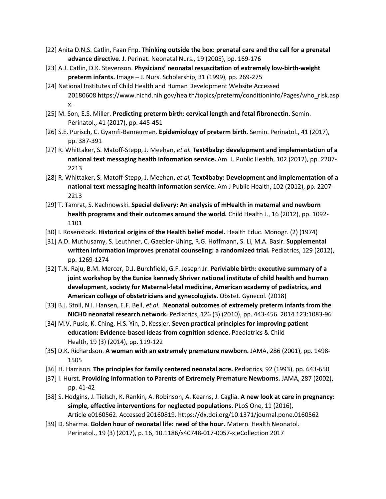- [22] Anita D.N.S. Catlin, Faan Fnp. **Thinking outside the box: prenatal care and the call for a prenatal advance directive.** J. Perinat. Neonatal Nurs., 19 (2005), pp. 169-176
- [23] A.J. Catlin, D.K. Stevenson. **Physicians' neonatal resuscitation of extremely low-birth-weight preterm infants.** Image – J. Nurs. Scholarship, 31 (1999), pp. 269-275
- [24] National Institutes of Child Health and Human Development Website Accessed 20180608 https://www.nichd.nih.gov/health/topics/preterm/conditioninfo/Pages/who\_risk.asp x.
- [25] M. Son, E.S. Miller. **Predicting preterm birth: cervical length and fetal fibronectin.** Semin. Perinatol., 41 (2017), pp. 445-451
- [26] S.E. Purisch, C. Gyamfi-Bannerman. **Epidemiology of preterm birth.** Semin. Perinatol., 41 (2017), pp. 387-391
- [27] R. Whittaker, S. Matoff-Stepp, J. Meehan, *et al.* **Text4baby: development and implementation of a national text messaging health information service.** Am. J. Public Health, 102 (2012), pp. 2207- 2213
- [28] R. Whittaker, S. Matoff-Stepp, J. Meehan, *et al.* **Text4baby: Development and implementation of a national text messaging health information service.** Am J Public Health, 102 (2012), pp. 2207- 2213
- [29] T. Tamrat, S. Kachnowski. **Special delivery: An analysis of mHealth in maternal and newborn health programs and their outcomes around the world.** Child Health J., 16 (2012), pp. 1092- 1101
- [30] I. Rosenstock. **Historical origins of the Health belief model.** Health Educ. Monogr. (2) (1974)
- [31] A.D. Muthusamy, S. Leuthner, C. Gaebler-Uhing, R.G. Hoffmann, S. Li, M.A. Basir. **Supplemental written information improves prenatal counseling: a randomized trial.** Pediatrics, 129 (2012), pp. 1269-1274
- [32] T.N. Raju, B.M. Mercer, D.J. Burchfield, G.F. Joseph Jr. **Periviable birth: executive summary of a joint workshop by the Eunice kennedy Shriver national institute of child health and human development, society for Maternal-fetal medicine, American academy of pediatrics, and American college of obstetricians and gynecologists.** Obstet. Gynecol. (2018)
- [33] B.J. Stoll, N.I. Hansen, E.F. Bell, *et al. .***Neonatal outcomes of extremely preterm infants from the NICHD neonatal research network.** Pediatrics, 126 (3) (2010), pp. 443-456. 2014 123:1083-96
- [34] M.V. Pusic, K. Ching, H.S. Yin, D. Kessler. **Seven practical principles for improving patient education: Evidence-based ideas from cognition science.** Paediatrics & Child Health, 19 (3) (2014), pp. 119-122
- [35] D.K. Richardson. **A woman with an extremely premature newborn.** JAMA, 286 (2001), pp. 1498- 1505
- [36] H. Harrison. **The principles for family centered neonatal acre.** Pediatrics, 92 (1993), pp. 643-650
- [37] I. Hurst. **Providing Information to Parents of Extremely Premature Newborns.** JAMA, 287 (2002), pp. 41-42
- [38] S. Hodgins, J. Tielsch, K. Rankin, A. Robinson, A. Kearns, J. Caglia. **A new look at care in pregnancy: simple, effective interventions for neglected populations.** PLoS One, 11 (2016), Article e0160562. Accessed 20160819. https://dx.doi.org/10.1371/journal.pone.0160562
- [39] D. Sharma. **Golden hour of neonatal life: need of the hour.** Matern. Health Neonatol. Perinatol., 19 (3) (2017), p. 16, 10.1186/s40748-017-0057-x.eCollection 2017